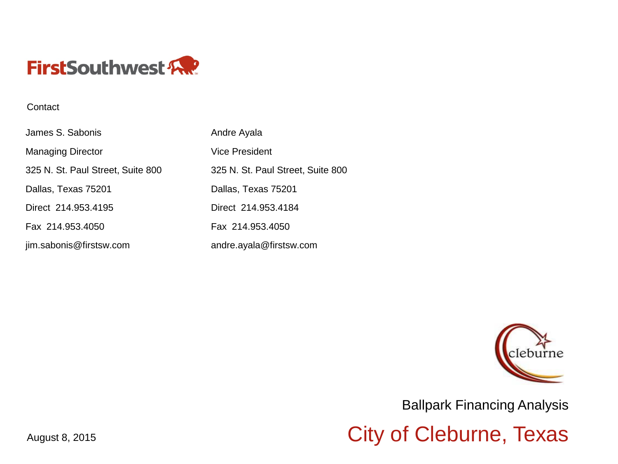

#### **Contact**

| James S. Sabonis                  | Andre Ayala                       |
|-----------------------------------|-----------------------------------|
| <b>Managing Director</b>          | <b>Vice President</b>             |
| 325 N. St. Paul Street, Suite 800 | 325 N. St. Paul Street, Suite 800 |
| Dallas, Texas 75201               | Dallas, Texas 75201               |
| Direct 214.953.4195               | Direct 214.953.4184               |
| Fax 214.953.4050                  | Fax 214.953.4050                  |
| jim.sabonis@firstsw.com           | andre.ayala@firstsw.com           |



Ballpark Financing Analysis

August 8, 2015 August 8, 2015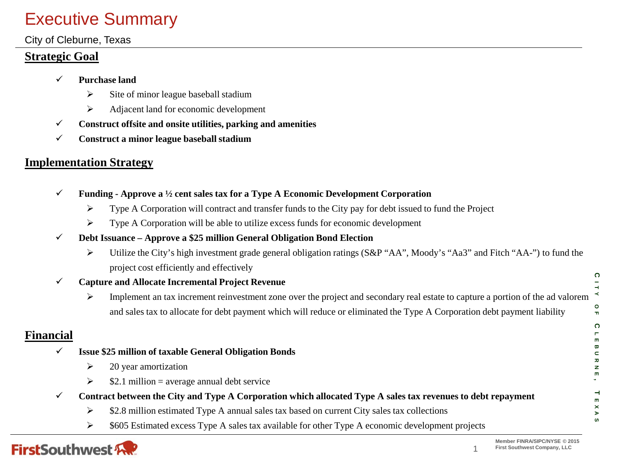# Executive Summary

### City of Cleburne, Texas

### **Strategic Goal**

- **Purchase land**
	- $\triangleright$  Site of minor league baseball stadium
	- $\triangleright$  Adjacent land for economic development
- **Construct offsite and onsite utilities, parking and amenities**
- **Construct a minor league baseball stadium**

## **Implementation Strategy**

- **Funding - Approve a ½ cent sales tax for a Type A Economic Development Corporation**
	- $\triangleright$  Type A Corporation will contract and transfer funds to the City pay for debt issued to fund the Project
	- $\triangleright$  Type A Corporation will be able to utilize excess funds for economic development

### **Debt Issuance – Approve a \$25 million General Obligation Bond Election**

 Utilize the City's high investment grade general obligation ratings (S&P "AA", Moody's "Aa3" and Fitch "AA-") to fund the project cost efficiently and effectively

### **Capture and Allocate Incremental Project Revenue**

**O** Implement an tax increment reinvestment zone over the project and secondary real estate to capture a portion of the ad valorem and sales tax to allocate for debt payment which will reduce or eliminated the Type A Corporation debt payment liability

## **Financial**

- **Issue \$25 million of taxable General Obligation Bonds**
	- $\geq$  20 year amortization
	- $\ge$  \$2.1 million = average annual debt service
	- **Contract between the City and Type A Corporation which allocated Type A sales tax revenues to debt repayment**
		- $\geq$  \$2.8 million estimated Type A annual sales tax based on current City sales tax collections
		- $\triangleright$  \$605 Estimated excess Type A sales tax available for other Type A economic development projects



1

**C ITY**

 **F C**

**LEBURNE**

m æ  $\subset$  $\overline{a}$ z

 $\overline{\phantom{a}}$ 

**EXAS**

 $\times$ ⋗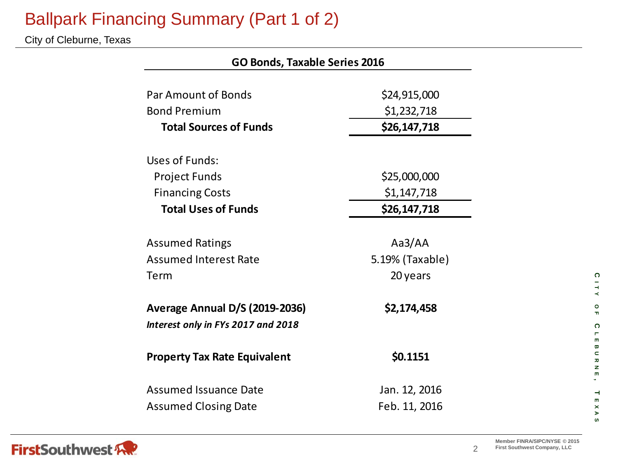# Ballpark Financing Summary (Part 1 of 2)

City of Cleburne, Texas

| <b>GO Bonds, Taxable Series 2016</b>  |                 |  |  |  |  |  |  |
|---------------------------------------|-----------------|--|--|--|--|--|--|
|                                       |                 |  |  |  |  |  |  |
| Par Amount of Bonds                   | \$24,915,000    |  |  |  |  |  |  |
| <b>Bond Premium</b>                   | \$1,232,718     |  |  |  |  |  |  |
| <b>Total Sources of Funds</b>         | \$26,147,718    |  |  |  |  |  |  |
| Uses of Funds:                        |                 |  |  |  |  |  |  |
| <b>Project Funds</b>                  | \$25,000,000    |  |  |  |  |  |  |
| <b>Financing Costs</b>                | \$1,147,718     |  |  |  |  |  |  |
| <b>Total Uses of Funds</b>            | \$26,147,718    |  |  |  |  |  |  |
|                                       |                 |  |  |  |  |  |  |
| <b>Assumed Ratings</b>                | Aa $3/A$ A      |  |  |  |  |  |  |
| <b>Assumed Interest Rate</b>          | 5.19% (Taxable) |  |  |  |  |  |  |
| Term                                  | 20 years        |  |  |  |  |  |  |
| <b>Average Annual D/S (2019-2036)</b> | \$2,174,458     |  |  |  |  |  |  |
| Interest only in FYs 2017 and 2018    |                 |  |  |  |  |  |  |
| <b>Property Tax Rate Equivalent</b>   | \$0.1151        |  |  |  |  |  |  |
| <b>Assumed Issuance Date</b>          | Jan. 12, 2016   |  |  |  |  |  |  |
| <b>Assumed Closing Date</b>           | Feb. 11, 2016   |  |  |  |  |  |  |



2

**C ITY**

**O F C**

**LEBURNE**

 $\blacksquare$  $\mathbf{m}$  $\mathbf{\overline{\omega}}$  $\subset$  $\bar{\mathbf{z}}$  $\mathbf{z}$  $\mathbf{m}$ 

 $\rightarrow$ 

 $\overline{\mathbf{m}}$  $\pmb{\times}$  $\blacktriangleright$  $\boldsymbol{\omega}$ 

**EXAS**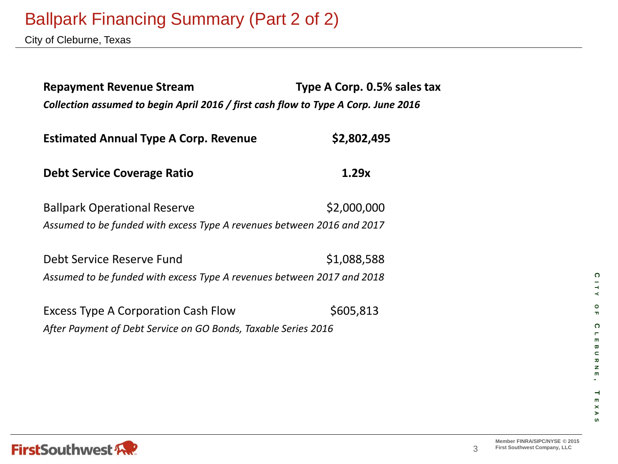# Ballpark Financing Summary (Part 2 of 2)

City of Cleburne, Texas

| <b>Repayment Revenue Stream</b><br>Collection assumed to begin April 2016 / first cash flow to Type A Corp. June 2016 | Type A Corp. 0.5% sales tax |  |  |  |  |  |
|-----------------------------------------------------------------------------------------------------------------------|-----------------------------|--|--|--|--|--|
| <b>Estimated Annual Type A Corp. Revenue</b>                                                                          | \$2,802,495                 |  |  |  |  |  |
| Debt Service Coverage Ratio                                                                                           | 1.29x                       |  |  |  |  |  |
| <b>Ballpark Operational Reserve</b><br>Assumed to be funded with excess Type A revenues between 2016 and 2017         | \$2,000,000                 |  |  |  |  |  |
| Debt Service Reserve Fund<br>Assumed to be funded with excess Type A revenues between 2017 and 2018                   | \$1,088,588                 |  |  |  |  |  |
| Excess Type A Corporation Cash Flow<br>After Payment of Debt Service on GO Bonds, Taxable Series 2016                 | \$605,813                   |  |  |  |  |  |

**C**

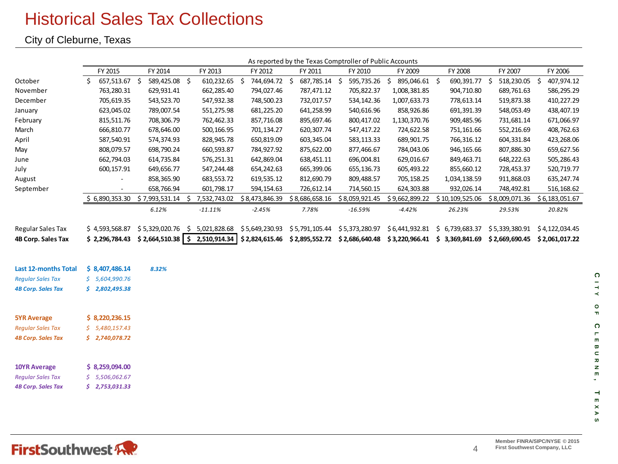## Historical Sales Tax Collections

City of Cleburne, Texas

|                           |                     |                |                                                 |                                              | As reported by the Texas Comptroller of Public Accounts |                |                                 |                 |                |                |
|---------------------------|---------------------|----------------|-------------------------------------------------|----------------------------------------------|---------------------------------------------------------|----------------|---------------------------------|-----------------|----------------|----------------|
|                           | FY 2015             | FY 2014        | FY 2013                                         | FY 2012                                      | FY 2011                                                 | FY 2010        | FY 2009                         | FY 2008         | FY 2007        | FY 2006        |
| October                   | \$<br>657,513.67 \$ | 589,425.08 \$  | 610,232.65 \$                                   | 744,694.72 \$                                | 687,785.14 \$                                           | 595,735.26     | 895,046.61 \$<br>\$             | 690,391.77 \$   | 518,230.05 \$  | 407,974.12     |
| November                  | 763,280.31          | 629,931.41     | 662,285.40                                      | 794,027.46                                   | 787,471.12                                              | 705,822.37     | 1,008,381.85                    | 904,710.80      | 689,761.63     | 586,295.29     |
| December                  | 705,619.35          | 543,523.70     | 547,932.38                                      | 748,500.23                                   | 732,017.57                                              | 534,142.36     | 1,007,633.73                    | 778,613.14      | 519,873.38     | 410,227.29     |
| January                   | 623,045.02          | 789,007.54     | 551,275.98                                      | 681,225.20                                   | 641,258.99                                              | 540,616.96     | 858,926.86                      | 691,391.39      | 548,053.49     | 438,407.19     |
| February                  | 815,511.76          | 708,306.79     | 762,462.33                                      | 857,716.08                                   | 895,697.46                                              | 800,417.02     | 1,130,370.76                    | 909,485.96      | 731,681.14     | 671,066.97     |
| March                     | 666,810.77          | 678,646.00     | 500,166.95                                      | 701,134.27                                   | 620,307.74                                              | 547,417.22     | 724,622.58                      | 751,161.66      | 552,216.69     | 408,762.63     |
| April                     | 587,540.91          | 574,374.93     | 828,945.78                                      | 650,819.09                                   | 603,345.04                                              | 583,113.33     | 689,901.75                      | 766,316.12      | 604,331.84     | 423,268.06     |
| May                       | 808,079.57          | 698,790.24     | 660,593.87                                      | 784,927.92                                   | 875,622.00                                              | 877,466.67     | 784,043.06                      | 946,165.66      | 807,886.30     | 659,627.56     |
| June                      | 662,794.03          | 614,735.84     | 576,251.31                                      | 642,869.04                                   | 638,451.11                                              | 696,004.81     | 629,016.67                      | 849,463.71      | 648,222.63     | 505,286.43     |
| July                      | 600,157.91          | 649,656.77     | 547,244.48                                      | 654,242.63                                   | 665,399.06                                              | 655,136.73     | 605,493.22                      | 855,660.12      | 728,453.37     | 520,719.77     |
| August                    |                     | 858,365.90     | 683,553.72                                      | 619,535.12                                   | 812,690.79                                              | 809,488.57     | 705,158.25                      | 1,034,138.59    | 911,868.03     | 635, 247.74    |
| September                 |                     | 658,766.94     | 601,798.17                                      | 594,154.63                                   | 726,612.14                                              | 714,560.15     | 624,303.88                      | 932,026.14      | 748,492.81     | 516,168.62     |
|                           | \$6,890,353.30      | \$7,993,531.14 | \$7,532,743.02                                  | \$8,473,846.39                               | \$8,686,658.16                                          | \$8,059,921.45 | \$9,662,899.22                  | \$10,109,525.06 | \$8,009,071.36 | \$6,183,051.67 |
|                           |                     | 6.12%          | $-11.11%$                                       | $-2.45%$                                     | 7.78%                                                   | $-16.59%$      | $-4.42%$                        | 26.23%          | 29.53%         | 20.82%         |
|                           |                     |                |                                                 |                                              |                                                         |                |                                 |                 |                |                |
| Regular Sales Tax         | \$4,593,568.87      |                | $$5,329,020.76$ $$5,021,828.68$ $$5,649,230.93$ |                                              | \$5,791,105.44                                          | \$5,373,280.97 | \$6,441,932.81                  | \$6,739,683.37  | \$5,339,380.91 | \$4,122,034.45 |
| 4B Corp. Sales Tax        |                     |                | $$2,296,784.43$ $$2,664,510.38$ $$2,510,914.34$ | \$2,824,615.46 \$2,895,552.72 \$2,686,640.48 |                                                         |                | $$3,220,966.41 \t$3,369,841.69$ |                 | \$2,669,690.45 | \$2,061,017.22 |
|                           |                     |                |                                                 |                                              |                                                         |                |                                 |                 |                |                |
| Last 12-months Total      | \$8,407,486.14      | 8.32%          |                                                 |                                              |                                                         |                |                                 |                 |                |                |
| <b>Reqular Sales Tax</b>  | \$5,604,990.76      |                |                                                 |                                              |                                                         |                |                                 |                 |                |                |
| <b>4B Corp. Sales Tax</b> | \$2,802,495.38      |                |                                                 |                                              |                                                         |                |                                 |                 |                |                |
|                           |                     |                |                                                 |                                              |                                                         |                |                                 |                 |                |                |
| <b>5YR Average</b>        | \$3,220,236.15      |                |                                                 |                                              |                                                         |                |                                 |                 |                |                |
| <b>Regular Sales Tax</b>  | \$5,480,157.43      |                |                                                 |                                              |                                                         |                |                                 |                 |                |                |
| <b>4B Corp. Sales Tax</b> | \$2,740,078.72      |                |                                                 |                                              |                                                         |                |                                 |                 |                |                |
|                           |                     |                |                                                 |                                              |                                                         |                |                                 |                 |                |                |
| <b>10YR Average</b>       | \$3,259,094.00      |                |                                                 |                                              |                                                         |                |                                 |                 |                |                |
| <b>Regular Sales Tax</b>  | \$5,506,062.67      |                |                                                 |                                              |                                                         |                |                                 |                 |                |                |
| <b>4B Corp. Sales Tax</b> | \$2,753,031.33      |                |                                                 |                                              |                                                         |                |                                 |                 |                |                |
|                           |                     |                |                                                 |                                              |                                                         |                |                                 |                 |                |                |

 $\boldsymbol{\omega}$ 

**C ITY**

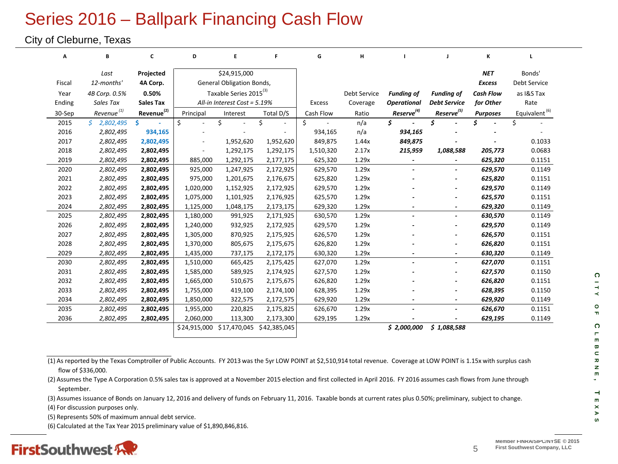# Series 2016 – Ballpark Financing Cash Flow

#### City of Cleburne, Texas

| А      | В                      | c                      | D         | Е                                  | F.           | G             | н            |                          |                          | К                |                           |  |
|--------|------------------------|------------------------|-----------|------------------------------------|--------------|---------------|--------------|--------------------------|--------------------------|------------------|---------------------------|--|
|        | Last                   | Projected              |           | \$24,915,000                       |              |               |              |                          |                          | <b>NET</b>       | Bonds'                    |  |
| Fiscal | 12-months'             | 4A Corp.               |           | <b>General Obligation Bonds,</b>   |              |               |              |                          |                          | <b>Excess</b>    | Debt Service              |  |
| Year   | 4B Corp. 0.5%          | 0.50%                  |           | Taxable Series 2015 <sup>(3)</sup> |              |               | Debt Service | <b>Funding of</b>        | <b>Funding of</b>        | <b>Cash Flow</b> | as I&S Tax                |  |
| Ending | Sales Tax              | <b>Sales Tax</b>       |           | All-in Interest Cost = 5.19%       |              | <b>Excess</b> | Coverage     | <b>Operational</b>       | <b>Debt Service</b>      | for Other        | Rate                      |  |
| 30-Sep | Revenue <sup>(1)</sup> | Revenue <sup>(2)</sup> | Principal | Interest                           | Total D/S    | Cash Flow     | Ratio        | $Reserve^{(4)}$          | Reserve <sup>(5)</sup>   | <b>Purposes</b>  | Equivalent <sup>(6)</sup> |  |
| 2015   | Ś.<br>2,802,495        | Ŝ.                     | \$        | \$                                 | \$           | \$            | n/a          | \$                       | \$                       | \$               | \$                        |  |
| 2016   | 2,802,495              | 934,165                |           |                                    |              | 934,165       | n/a          | 934,165                  |                          |                  |                           |  |
| 2017   | 2,802,495              | 2,802,495              |           | 1,952,620                          | 1,952,620    | 849,875       | 1.44x        | 849,875                  |                          |                  | 0.1033                    |  |
| 2018   | 2,802,495              | 2,802,495              |           | 1,292,175                          | 1,292,175    | 1,510,320     | 2.17x        | 215,959                  | 1,088,588                | 205,773          | 0.0683                    |  |
| 2019   | 2,802,495              | 2,802,495              | 885,000   | 1,292,175                          | 2,177,175    | 625,320       | 1.29x        | $\overline{\phantom{a}}$ |                          | 625,320          | 0.1151                    |  |
| 2020   | 2,802,495              | 2,802,495              | 925,000   | 1,247,925                          | 2,172,925    | 629,570       | 1.29x        |                          |                          | 629,570          | 0.1149                    |  |
| 2021   | 2,802,495              | 2,802,495              | 975,000   | 1,201,675                          | 2,176,675    | 625,820       | 1.29x        |                          |                          | 625,820          | 0.1151                    |  |
| 2022   | 2,802,495              | 2,802,495              | 1,020,000 | 1,152,925                          | 2,172,925    | 629,570       | 1.29x        |                          |                          | 629,570          | 0.1149                    |  |
| 2023   | 2,802,495              | 2,802,495              | 1,075,000 | 1,101,925                          | 2,176,925    | 625,570       | 1.29x        |                          | $\overline{a}$           | 625,570          | 0.1151                    |  |
| 2024   | 2,802,495              | 2,802,495              | 1,125,000 | 1,048,175                          | 2,173,175    | 629,320       | 1.29x        |                          | ۰                        | 629,320          | 0.1149                    |  |
| 2025   | 2,802,495              | 2,802,495              | 1,180,000 | 991,925                            | 2,171,925    | 630,570       | 1.29x        | $\overline{a}$           | $\blacksquare$           | 630,570          | 0.1149                    |  |
| 2026   | 2,802,495              | 2,802,495              | 1,240,000 | 932,925                            | 2,172,925    | 629,570       | 1.29x        |                          |                          | 629,570          | 0.1149                    |  |
| 2027   | 2,802,495              | 2,802,495              | 1,305,000 | 870,925                            | 2,175,925    | 626,570       | 1.29x        |                          |                          | 626,570          | 0.1151                    |  |
| 2028   | 2,802,495              | 2,802,495              | 1,370,000 | 805,675                            | 2,175,675    | 626,820       | 1.29x        |                          |                          | 626,820          | 0.1151                    |  |
| 2029   | 2,802,495              | 2,802,495              | 1,435,000 | 737,175                            | 2,172,175    | 630,320       | 1.29x        |                          | $\blacksquare$           | 630,320          | 0.1149                    |  |
| 2030   | 2,802,495              | 2,802,495              | 1,510,000 | 665,425                            | 2,175,425    | 627,070       | 1.29x        |                          | ۰                        | 627,070          | 0.1151                    |  |
| 2031   | 2,802,495              | 2,802,495              | 1,585,000 | 589,925                            | 2,174,925    | 627,570       | 1.29x        |                          |                          | 627,570          | 0.1150                    |  |
| 2032   | 2,802,495              | 2,802,495              | 1,665,000 | 510,675                            | 2,175,675    | 626,820       | 1.29x        |                          |                          | 626,820          | 0.1151                    |  |
| 2033   | 2,802,495              | 2,802,495              | 1,755,000 | 419,100                            | 2,174,100    | 628,395       | 1.29x        |                          |                          | 628,395          | 0.1150                    |  |
| 2034   | 2,802,495              | 2,802,495              | 1,850,000 | 322,575                            | 2,172,575    | 629,920       | 1.29x        |                          | $\overline{\phantom{a}}$ | 629,920          | 0.1149                    |  |
| 2035   | 2,802,495              | 2,802,495              | 1,955,000 | 220,825                            | 2,175,825    | 626,670       | 1.29x        | $\overline{a}$           | $\overline{a}$           | 626,670          | 0.1151                    |  |
| 2036   | 2,802,495              | 2,802,495              | 2,060,000 | 113,300                            | 2,173,300    | 629,195       | 1.29x        |                          |                          | 629,195          | 0.1149                    |  |
|        |                        |                        |           | \$24,915,000 \$17,470,045          | \$42,385,045 |               |              | \$2,000,000              | \$1,088,588              |                  |                           |  |
|        |                        |                        |           |                                    |              |               |              |                          |                          |                  |                           |  |

(1) As reported by the Texas Comptroller of Public Accounts. FY 2013 was the 5yr LOW POINT at \$2,510,914 total revenue. Coverage at LOW POINT is 1.15x with surplus cash flow of \$336,000.

(2) Assumes the Type A Corporation 0.5% sales tax is approved at a November 2015 election and first collected in April 2016. FY 2016 assumes cash flows from June through September.

(3) Assumes issuance of Bonds on January 12, 2016 and delivery of funds on February 11, 2016. Taxable bonds at current rates plus 0.50%; preliminary, subject to change.

(4) For discussion purposes only.

(5) Represents 50% of maximum annual debt service.

(6) Calculated at the Tax Year 2015 preliminary value of \$1,890,846,816.



5

**C**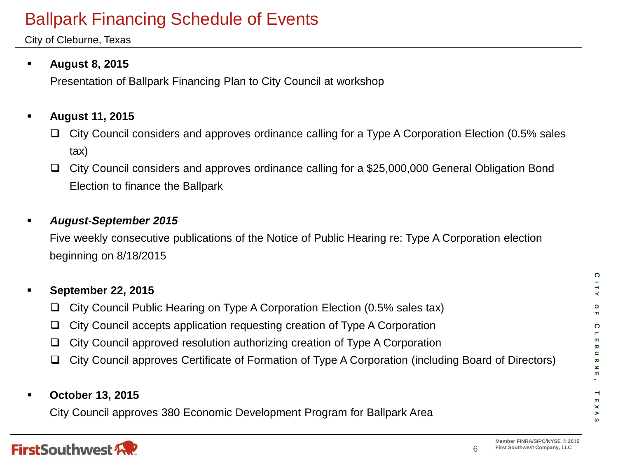# Ballpark Financing Schedule of Events

City of Cleburne, Texas

## **August 8, 2015**

Presentation of Ballpark Financing Plan to City Council at workshop

## **August 11, 2015**

- $\Box$  City Council considers and approves ordinance calling for a Type A Corporation Election (0.5% sales tax)
- City Council considers and approves ordinance calling for a \$25,000,000 General Obligation Bond Election to finance the Ballpark

### *August-September 2015*

Five weekly consecutive publications of the Notice of Public Hearing re: Type A Corporation election beginning on 8/18/2015

# **September 22, 2015** City Council Public Hearing on Type A Corporation Election (0.5% sales tax)  $\Box$  City Council accepts application requesting creation of Type A Corporation  $\Box$  City Council approved resolution authorizing creation of Type A Corporation City Council approves Certificate of Formation of Type A Corporation (including Board of Directors)

### **October 13, 2015**

City Council approves 380 Economic Development Program for Ballpark Area



6

**C ITY OF C**

**LEBURNE**

 $\pmb{\varpi}$  $\subset$ ᅎ  $\mathbf{z}$  $\mathbf{m}$ 

 $\overline{\phantom{a}}$ 

 $\blacksquare$  $\times$ ⋗

**EXAS**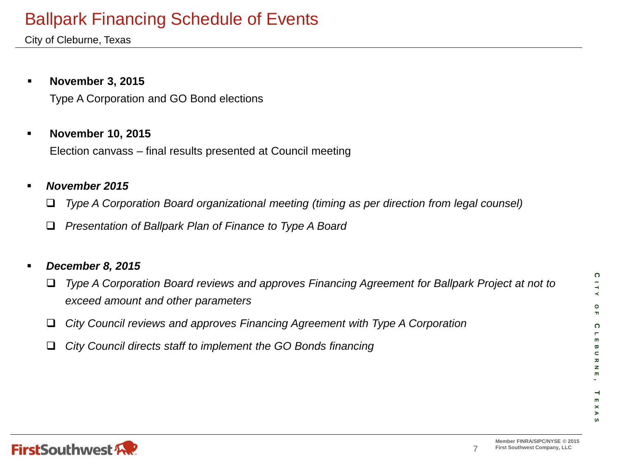# Ballpark Financing Schedule of Events

City of Cleburne, Texas

### **November 3, 2015**

Type A Corporation and GO Bond elections

### **November 10, 2015**

Election canvass – final results presented at Council meeting

### *November 2015*

*Type A Corporation Board organizational meeting (timing as per direction from legal counsel)*

*Presentation of Ballpark Plan of Finance to Type A Board*

### *December 8, 2015*

 *Type A Corporation Board reviews and approves Financing Agreement for Ballpark Project at not to exceed amount and other parameters*

- *City Council reviews and approves Financing Agreement with Type A Corporation*
- *City Council directs staff to implement the GO Bonds financing*

**C**